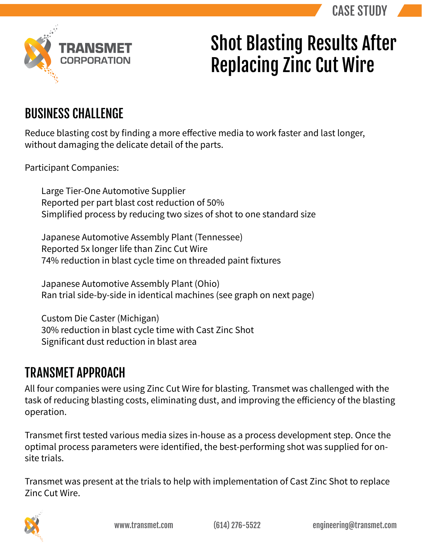

## Shot Blasting Results After Replacing Zinc Cut Wire

## BUSINESS CHALLENGE

Reduce blasting cost by finding a more effective media to work faster and last longer, without damaging the delicate detail of the parts.

Participant Companies:

Large Tier-One Automotive Supplier Reported per part blast cost reduction of 50% Simplified process by reducing two sizes of shot to one standard size

Japanese Automotive Assembly Plant (Tennessee) Reported 5x longer life than Zinc Cut Wire 74% reduction in blast cycle time on threaded paint fixtures

Japanese Automotive Assembly Plant (Ohio) Ran trial side-by-side in identical machines (see graph on next page)

Custom Die Caster (Michigan) 30% reduction in blast cycle time with Cast Zinc Shot Significant dust reduction in blast area

## TRANSMET APPROACH

All four companies were using Zinc Cut Wire for blasting. Transmet was challenged with the task of reducing blasting costs, eliminating dust, and improving the efficiency of the blasting operation.

Transmet first tested various media sizes in-house as a process development step. Once the optimal process parameters were identified, the best-performing shot was supplied for onsite trials.

Transmet was present at the trials to help with implementation of Cast Zinc Shot to replace Zinc Cut Wire.